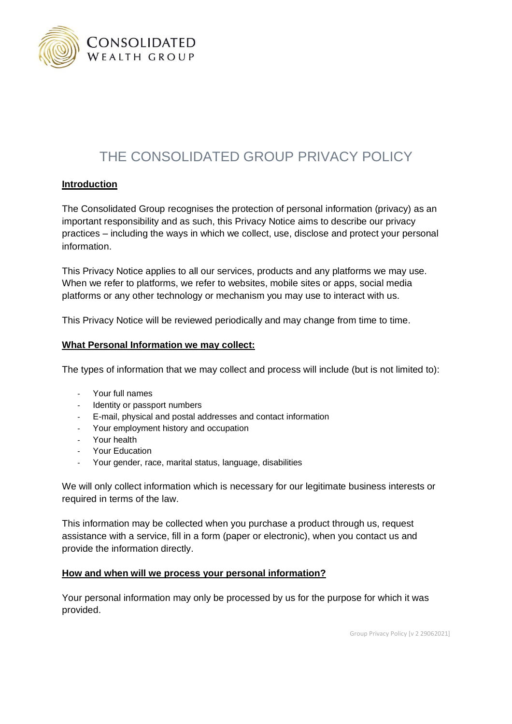

# THE CONSOLIDATED GROUP PRIVACY POLICY

# **Introduction**

The Consolidated Group recognises the protection of personal information (privacy) as an important responsibility and as such, this Privacy Notice aims to describe our privacy practices – including the ways in which we collect, use, disclose and protect your personal information.

This Privacy Notice applies to all our services, products and any platforms we may use. When we refer to platforms, we refer to websites, mobile sites or apps, social media platforms or any other technology or mechanism you may use to interact with us.

This Privacy Notice will be reviewed periodically and may change from time to time.

#### **What Personal Information we may collect:**

The types of information that we may collect and process will include (but is not limited to):

- Your full names
- Identity or passport numbers
- E-mail, physical and postal addresses and contact information
- Your employment history and occupation
- Your health
- Your Education
- Your gender, race, marital status, language, disabilities

We will only collect information which is necessary for our legitimate business interests or required in terms of the law.

This information may be collected when you purchase a product through us, request assistance with a service, fill in a form (paper or electronic), when you contact us and provide the information directly.

## **How and when will we process your personal information?**

Your personal information may only be processed by us for the purpose for which it was provided.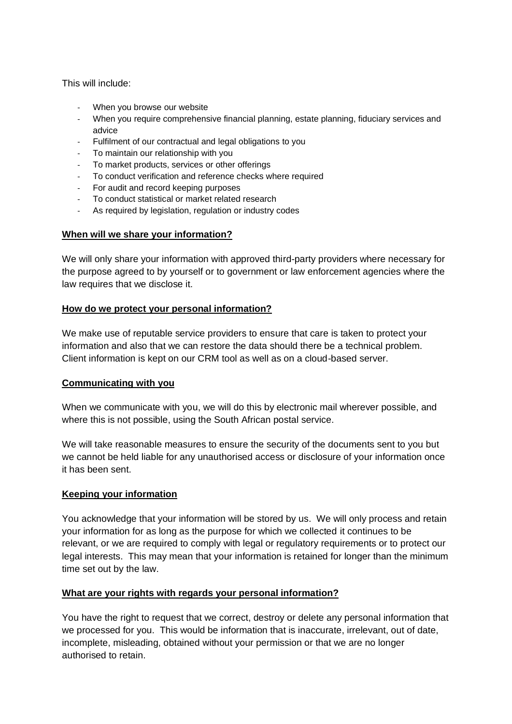This will include:

- When you browse our website
- When you require comprehensive financial planning, estate planning, fiduciary services and advice
- Fulfilment of our contractual and legal obligations to you
- To maintain our relationship with you
- To market products, services or other offerings
- To conduct verification and reference checks where required
- For audit and record keeping purposes
- To conduct statistical or market related research
- As required by legislation, regulation or industry codes

# **When will we share your information?**

We will only share your information with approved third-party providers where necessary for the purpose agreed to by yourself or to government or law enforcement agencies where the law requires that we disclose it.

# **How do we protect your personal information?**

We make use of reputable service providers to ensure that care is taken to protect your information and also that we can restore the data should there be a technical problem. Client information is kept on our CRM tool as well as on a cloud-based server.

# **Communicating with you**

When we communicate with you, we will do this by electronic mail wherever possible, and where this is not possible, using the South African postal service.

We will take reasonable measures to ensure the security of the documents sent to you but we cannot be held liable for any unauthorised access or disclosure of your information once it has been sent.

## **Keeping your information**

You acknowledge that your information will be stored by us. We will only process and retain your information for as long as the purpose for which we collected it continues to be relevant, or we are required to comply with legal or regulatory requirements or to protect our legal interests. This may mean that your information is retained for longer than the minimum time set out by the law.

# **What are your rights with regards your personal information?**

You have the right to request that we correct, destroy or delete any personal information that we processed for you. This would be information that is inaccurate, irrelevant, out of date, incomplete, misleading, obtained without your permission or that we are no longer authorised to retain.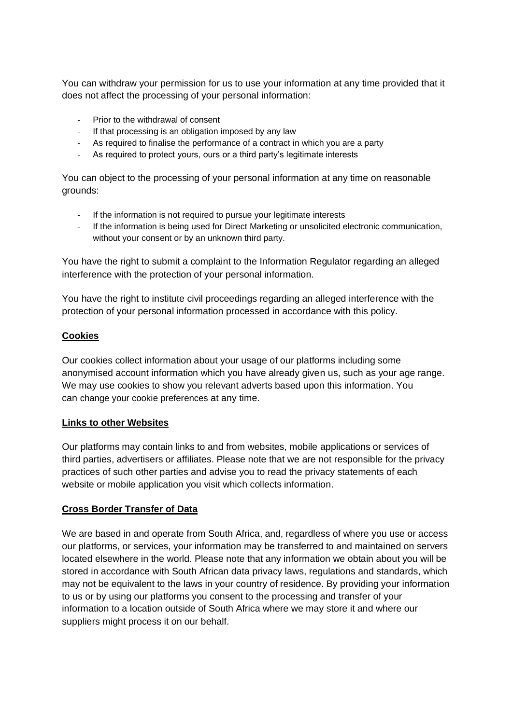You can withdraw your permission for us to use your information at any time provided that it does not affect the processing of your personal information:

- Prior to the withdrawal of consent
- If that processing is an obligation imposed by any law
- As required to finalise the performance of a contract in which you are a party
- As required to protect yours, ours or a third party's legitimate interests

You can object to the processing of your personal information at any time on reasonable grounds:

- If the information is not required to pursue your legitimate interests
- If the information is being used for Direct Marketing or unsolicited electronic communication, without your consent or by an unknown third party.

You have the right to submit a complaint to the Information Regulator regarding an alleged interference with the protection of your personal information.

You have the right to institute civil proceedings regarding an alleged interference with the protection of your personal information processed in accordance with this policy.

# **Cookies**

Our cookies collect information about your usage of our platforms including some anonymised account information which you have already given us, such as your age range. We may use cookies to show you relevant adverts based upon this information. You can change your cookie preferences at any time.

## **Links to other Websites**

Our platforms may contain links to and from websites, mobile applications or services of third parties, advertisers or affiliates. Please note that we are not responsible for the privacy practices of such other parties and advise you to read the privacy statements of each website or mobile application you visit which collects information.

## **Cross Border Transfer of Data**

We are based in and operate from South Africa, and, regardless of where you use or access our platforms, or services, your information may be transferred to and maintained on servers located elsewhere in the world. Please note that any information we obtain about you will be stored in accordance with South African data privacy laws, regulations and standards, which may not be equivalent to the laws in your country of residence. By providing your information to us or by using our platforms you consent to the processing and transfer of your information to a location outside of South Africa where we may store it and where our suppliers might process it on our behalf.